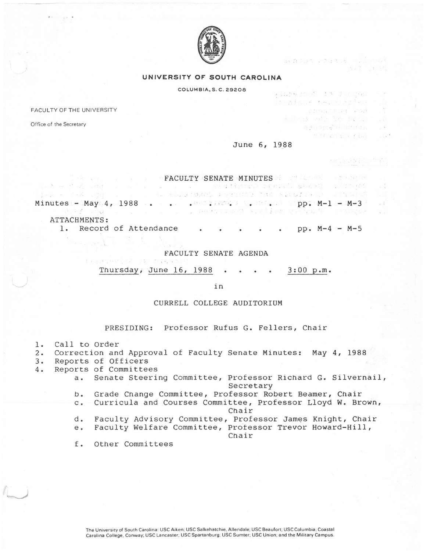

## **UNIVERSITY OF' SOUTH CAROLINA**

COLUMBIA,S.C. 29208 . . ~ ..

FACULTY OF THE UNIVERSITY

Office of the Secretary

June 6, 1988

 $\, 84.73911 - 70.8312 - 711.001$ 

anna Suit Roa

将进行的转变的行动的时间点 性感的関係を認めて表明。  $\frac{1}{2}$ 

 $50$ 

古物雅夫的心中 不得到夜上古迹是的年

kahogy svie be bec.

FACULTY SENATE MINUTES 38 START STATES AND RESERVE TO A STATE OF A STATE OF A STATE OF A STATE OF A STATE OF A

Minutes - May .4, 1988 . .' ' ' ·. pp~ M-1 ..- M-3

ATTACHMENTS: 1. Record of Attendance  $\cdot \cdot \cdot \cdot \cdot$  pp. M-4 - M-5

FACULTY SENATE AGENDA

Thursday, June 16, 1988  $\cdot \cdot \cdot \cdot$  3:00 p.m.

in

CURRELL COLLEGE AUDITORIUM

PRESIDING: Professor Rufus G. Fellers, Chair

- 1. Call to Order<br>2. Correction and
- 2. Correction and Approval of Faculty Senate Minutes: May 4, 1988
- 3. Reports of Officers
- 4. Reports of Committees
	- a. Senate Steering Committee, Professor Richard G. Silvernail, Secretary
	- b. Grade Change Committee, Professor Robert Beamer, Chair
	- c. Curricula and Courses Committee, Professor Lloyd w. Brown, Chair
	- d. Faculty Advisory Committee, Professor James Knight, Chair
	- e. Faculty Welfare Committee, Professor Trevor Howard-Hill, Chair

f. Other Committees